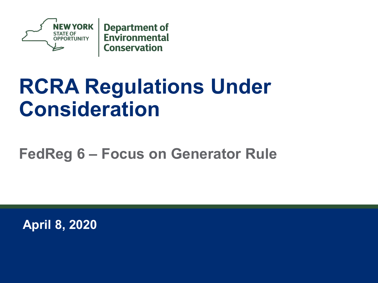

# **RCRA Regulations Under Consideration**

#### **FedReg 6 – Focus on Generator Rule**

**April 8, 2020**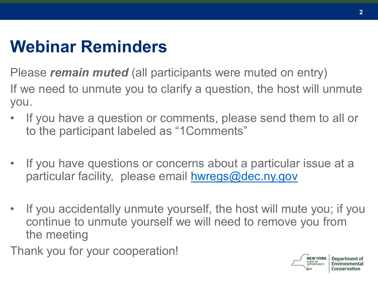### **Webinar Reminders**

Please *remain muted* (all participants were muted on entry) If we need to unmute you to clarify a question, the host will unmute you.

- If you have a question or comments, please send them to all or to the participant labeled as "1Comments"
- If you have questions or concerns about a particular issue at a particular facility, please email [hwregs@dec.ny.gov](mailto:hwregs@dec.ny.gov)
- If you accidentally unmute yourself, the host will mute you; if you continue to unmute yourself we will need to remove you from the meeting

Thank you for your cooperation!

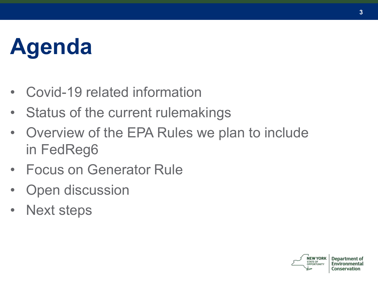# **Agenda**

- Covid-19 related information
- Status of the current rulemakings
- Overview of the EPA Rules we plan to include in FedReg6
- Focus on Generator Rule
- **Open discussion**
- Next steps

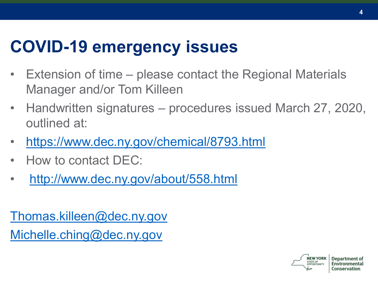### **COVID-19 emergency issues**

- Extension of time please contact the Regional Materials Manager and/or Tom Killeen
- Handwritten signatures procedures issued March 27, 2020, outlined at:
- <https://www.dec.ny.gov/chemical/8793.html>
- How to contact DEC:
- <http://www.dec.ny.gov/about/558.html>

[Thomas.killeen@dec.ny.gov](mailto:Thomas.killeen@dec.ny.gov) [Michelle.ching@dec.ny.gov](mailto:Michelle.ching@dec.ny.gov)

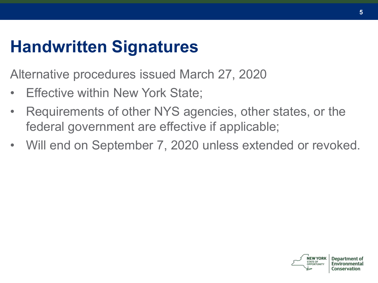### **Handwritten Signatures**

Alternative procedures issued March 27, 2020

- Effective within New York State;
- Requirements of other NYS agencies, other states, or the federal government are effective if applicable;
- Will end on September 7, 2020 unless extended or revoked.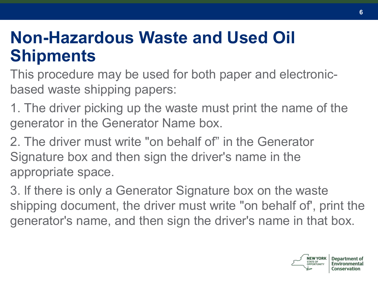#### **Non-Hazardous Waste and Used Oil Shipments**

This procedure may be used for both paper and electronicbased waste shipping papers:

1. The driver picking up the waste must print the name of the generator in the Generator Name box.

2. The driver must write "on behalf of" in the Generator Signature box and then sign the driver's name in the appropriate space.

3. lf there is only a Generator Signature box on the waste shipping document, the driver must write "on behalf of', print the generator's name, and then sign the driver's name in that box.

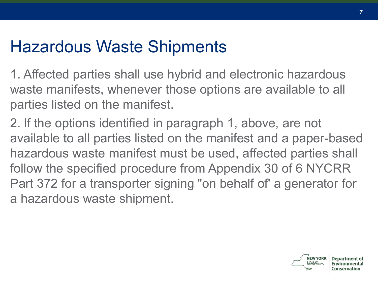### Hazardous Waste Shipments

1. Affected parties shall use hybrid and electronic hazardous waste manifests, whenever those options are available to all parties listed on the manifest.

2. lf the options identified in paragraph 1, above, are not available to all parties listed on the manifest and a paper-based hazardous waste manifest must be used, affected parties shall follow the specified procedure from Appendix 30 of 6 NYCRR Part 372 for a transporter signing "on behalf of' a generator for a hazardous waste shipment.

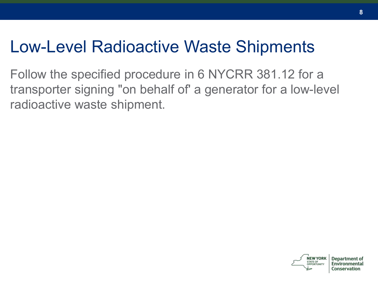#### Low-Level Radioactive Waste Shipments

Follow the specified procedure in 6 NYCRR 381.12 for a transporter signing "on behalf of' a generator for a low-level radioactive waste shipment.

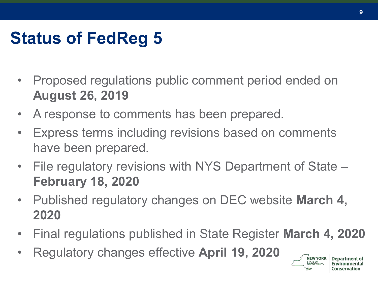# **Status of FedReg 5**

- Proposed regulations public comment period ended on **August 26, 2019**
- A response to comments has been prepared.
- Express terms including revisions based on comments have been prepared.
- File regulatory revisions with NYS Department of State **February 18, 2020**
- Published regulatory changes on DEC website **March 4, 2020**
- Final regulations published in State Register **March 4, 2020**
- Regulatory changes effective **April 19, 2020**

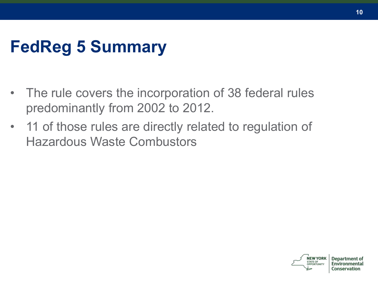## **FedReg 5 Summary**

- The rule covers the incorporation of 38 federal rules predominantly from 2002 to 2012.
- 11 of those rules are directly related to regulation of Hazardous Waste Combustors



Denartr Conservation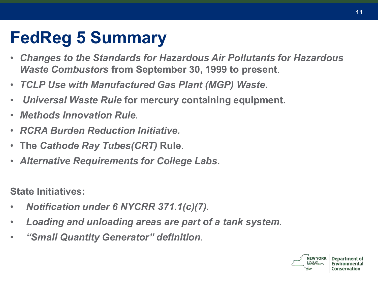## **FedReg 5 Summary**

- *Changes to the Standards for Hazardous Air Pollutants for Hazardous Waste Combustors* **from September 30, 1999 to present**.
- *TCLP Use with Manufactured Gas Plant (MGP) Waste***.**
- *Universal Waste Rule* **for mercury containing equipment.**
- *Methods Innovation Rule.*
- *RCRA Burden Reduction Initiative.*
- **The** *Cathode Ray Tubes(CRT)* **Rule**.
- *Alternative Requirements for College Labs***.**

**State Initiatives:**

- *Notification under 6 NYCRR 371.1(c)(7).*
- *Loading and unloading areas are part of a tank system.*
- *"Small Quantity Generator" definition*.

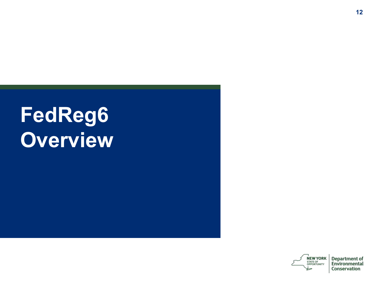# **FedReg6 Overview**



**Department of** Environmental Conservation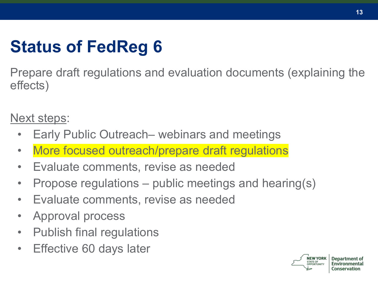# **Status of FedReg 6**

Prepare draft regulations and evaluation documents (explaining the effects)

Next steps:

- Early Public Outreach– webinars and meetings
- More focused outreach/prepare draft regulations
- Evaluate comments, revise as needed
- Propose regulations public meetings and hearing(s)
- Evaluate comments, revise as needed
- Approval process
- Publish final regulations
- Effective 60 days later



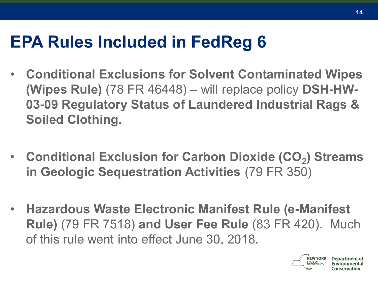## **EPA Rules Included in FedReg 6**

- **Conditional Exclusions for Solvent Contaminated Wipes (Wipes Rule)** (78 FR 46448) – will replace policy **DSH-HW-03-09 Regulatory Status of Laundered Industrial Rags & Soiled Clothing.**
- **Conditional Exclusion for Carbon Dioxide (CO<sup>2</sup> ) Streams in Geologic Sequestration Activities** (79 FR 350)
- **Hazardous Waste Electronic Manifest Rule (e-Manifest Rule)** (79 FR 7518) **and User Fee Rule** (83 FR 420). Much of this rule went into effect June 30, 2018.



Denartn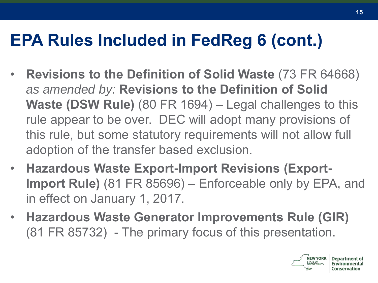## **EPA Rules Included in FedReg 6 (cont.)**

- **Revisions to the Definition of Solid Waste** (73 FR 64668) *as amended by:* **Revisions to the Definition of Solid Waste (DSW Rule)** (80 FR 1694) – Legal challenges to this rule appear to be over. DEC will adopt many provisions of this rule, but some statutory requirements will not allow full adoption of the transfer based exclusion.
- **Hazardous Waste Export-Import Revisions (Export-Import Rule)** (81 FR 85696) – Enforceable only by EPA, and in effect on January 1, 2017.
- **Hazardous Waste Generator Improvements Rule (GIR)** (81 FR 85732) - The primary focus of this presentation.

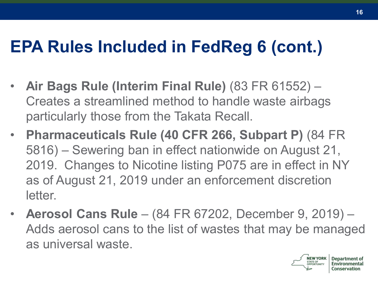## **EPA Rules Included in FedReg 6 (cont.)**

- **Air Bags Rule (Interim Final Rule)** (83 FR 61552) Creates a streamlined method to handle waste airbags particularly those from the Takata Recall.
- **Pharmaceuticals Rule (40 CFR 266, Subpart P)** (84 FR 5816) – Sewering ban in effect nationwide on August 21, 2019. Changes to Nicotine listing P075 are in effect in NY as of August 21, 2019 under an enforcement discretion letter.
- **Aerosol Cans Rule**  (84 FR 67202, December 9, 2019) Adds aerosol cans to the list of wastes that may be managed as universal waste.

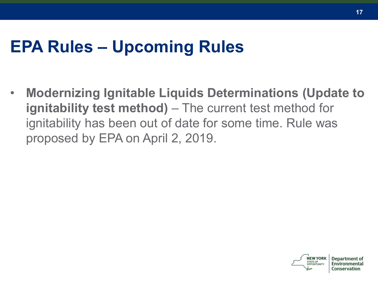### **EPA Rules – Upcoming Rules**

• **Modernizing Ignitable Liquids Determinations (Update to ignitability test method)** – The current test method for ignitability has been out of date for some time. Rule was proposed by EPA on April 2, 2019.

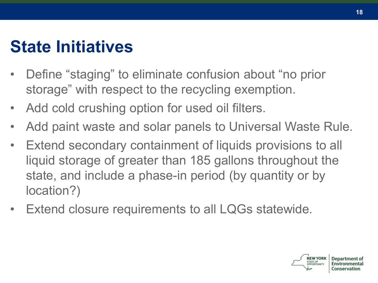### **State Initiatives**

- Define "staging" to eliminate confusion about "no prior storage" with respect to the recycling exemption.
- Add cold crushing option for used oil filters.
- Add paint waste and solar panels to Universal Waste Rule.
- Extend secondary containment of liquids provisions to all liquid storage of greater than 185 gallons throughout the state, and include a phase-in period (by quantity or by location?)
- Extend closure requirements to all LQGs statewide.



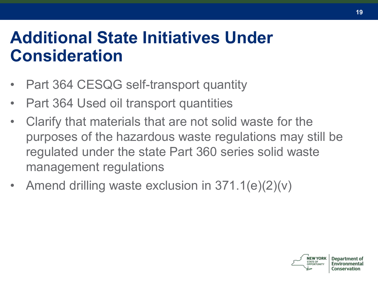### **Additional State Initiatives Under Consideration**

- Part 364 CESQG self-transport quantity
- Part 364 Used oil transport quantities
- Clarify that materials that are not solid waste for the purposes of the hazardous waste regulations may still be regulated under the state Part 360 series solid waste management regulations
- Amend drilling waste exclusion in 371.1(e)(2)(v)

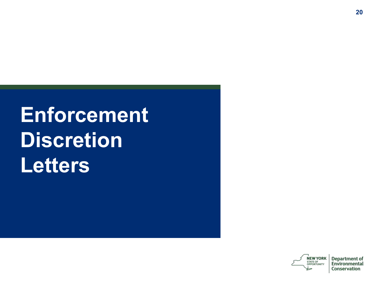# **Enforcement Discretion Letters**

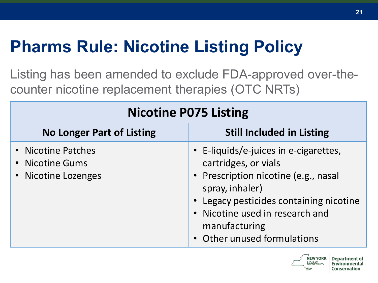# **Pharms Rule: Nicotine Listing Policy**

Listing has been amended to exclude FDA-approved over-thecounter nicotine replacement therapies (OTC NRTs)

| <b>Nicotine P075 Listing</b>                                 |                                                                                                                                                                                                                                                    |  |
|--------------------------------------------------------------|----------------------------------------------------------------------------------------------------------------------------------------------------------------------------------------------------------------------------------------------------|--|
| <b>No Longer Part of Listing</b>                             | <b>Still Included in Listing</b>                                                                                                                                                                                                                   |  |
| • Nicotine Patches<br>• Nicotine Gums<br>• Nicotine Lozenges | • E-liquids/e-juices in e-cigarettes,<br>cartridges, or vials<br>• Prescription nicotine (e.g., nasal<br>spray, inhaler)<br>• Legacy pesticides containing nicotine<br>Nicotine used in research and<br>manufacturing<br>Other unused formulations |  |



**Department of** 

Conservation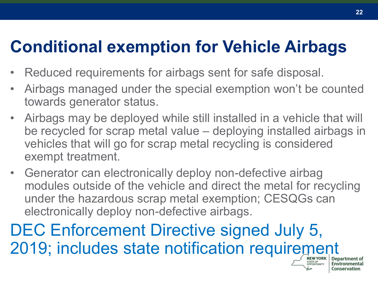## **Conditional exemption for Vehicle Airbags**

- Reduced requirements for airbags sent for safe disposal.
- Airbags managed under the special exemption won't be counted towards generator status.
- Airbags may be deployed while still installed in a vehicle that will be recycled for scrap metal value – deploying installed airbags in vehicles that will go for scrap metal recycling is considered exempt treatment.
- Generator can electronically deploy non-defective airbag modules outside of the vehicle and direct the metal for recycling under the hazardous scrap metal exemption; CESQGs can electronically deploy non-defective airbags.

DEC Enforcement Directive signed July 5, 2019; includes state notification requirement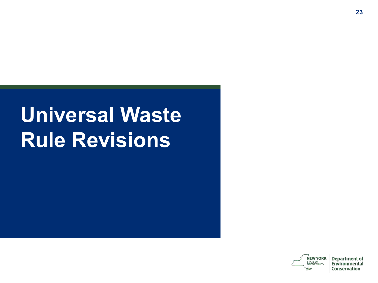# **Universal Waste Rule Revisions**

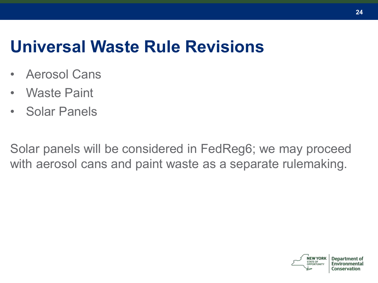### **Universal Waste Rule Revisions**

- Aerosol Cans
- Waste Paint
- Solar Panels

Solar panels will be considered in FedReg6; we may proceed with aerosol cans and paint waste as a separate rulemaking.

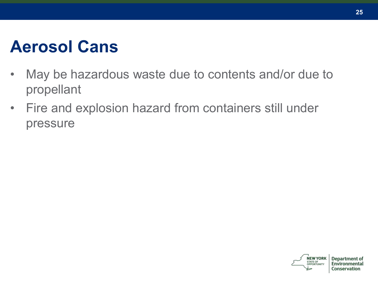### **Aerosol Cans**

- May be hazardous waste due to contents and/or due to propellant
- Fire and explosion hazard from containers still under pressure

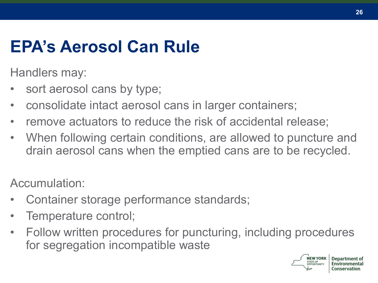## **EPA's Aerosol Can Rule**

Handlers may:

- sort aerosol cans by type;
- consolidate intact aerosol cans in larger containers;
- remove actuators to reduce the risk of accidental release;
- When following certain conditions, are allowed to puncture and drain aerosol cans when the emptied cans are to be recycled.

Accumulation:

- Container storage performance standards;
- Temperature control;
- Follow written procedures for puncturing, including procedures for segregation incompatible waste

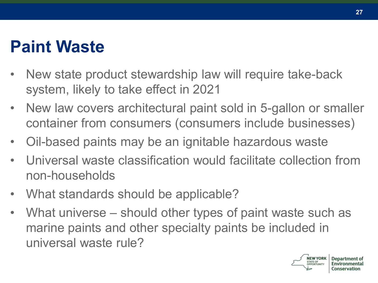### **Paint Waste**

- New state product stewardship law will require take-back system, likely to take effect in 2021
- New law covers architectural paint sold in 5-gallon or smaller container from consumers (consumers include businesses)
- Oil-based paints may be an ignitable hazardous waste
- Universal waste classification would facilitate collection from non-households
- What standards should be applicable?
- What universe should other types of paint waste such as marine paints and other specialty paints be included in universal waste rule?



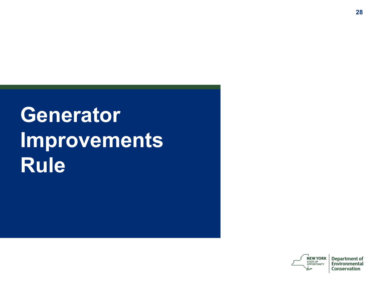# **Generator Improvements Rule**

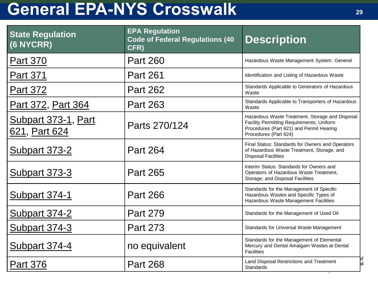### **General EPA-NYS Crosswalk <sup>29</sup>**

| <b>State Regulation</b><br>(6 NYCRR) | <b>EPA Regulation</b><br><b>Code of Federal Regulations (40</b><br>CFR) | <b>Description</b>                                                                                                                                                |
|--------------------------------------|-------------------------------------------------------------------------|-------------------------------------------------------------------------------------------------------------------------------------------------------------------|
| <b>Part 370</b>                      | <b>Part 260</b>                                                         | Hazardous Waste Management System: General                                                                                                                        |
| <b>Part 371</b>                      | <b>Part 261</b>                                                         | Identification and Listing of Hazardous Waste                                                                                                                     |
| <b>Part 372</b>                      | <b>Part 262</b>                                                         | Standards Applicable to Generators of Hazardous<br>Waste                                                                                                          |
| Part 372, Part 364                   | <b>Part 263</b>                                                         | Standards Applicable to Transporters of Hazardous<br>Waste                                                                                                        |
| Subpart 373-1, Part<br>621, Part 624 | Parts 270/124                                                           | Hazardous Waste Treatment, Storage and Disposal<br>Facility Permitting Requirements; Uniform<br>Procedures (Part 621) and Permit Hearing<br>Procedures (Part 624) |
| <b>Subpart 373-2</b>                 | <b>Part 264</b>                                                         | Final Status: Standards for Owners and Operators<br>of Hazardous Waste Treatment, Storage, and<br><b>Disposal Facilities</b>                                      |
| <u>Subpart 373-3</u>                 | <b>Part 265</b>                                                         | Interim Status: Standards for Owners and<br>Operators of Hazardous Waste Treatment,<br>Storage, and Disposal Facilities                                           |
| <u>Subpart 374-1</u>                 | <b>Part 266</b>                                                         | Standards for the Management of Specific<br>Hazardous Wastes and Specific Types of<br>Hazardous Waste Management Facilities                                       |
| Subpart 374-2                        | <b>Part 279</b>                                                         | Standards for the Management of Used Oil                                                                                                                          |
| Subpart 374-3                        | <b>Part 273</b>                                                         | Standards for Universal Waste Management                                                                                                                          |
| Subpart 374-4                        | no equivalent                                                           | Standards for the Management of Elemental<br>Mercury and Dental Amalgam Wastes at Dental<br>Facilities                                                            |
| <b>Part 376</b>                      | <b>Part 268</b>                                                         | Land Disposal Restrictions and Treatment<br>al<br><b>Standards</b>                                                                                                |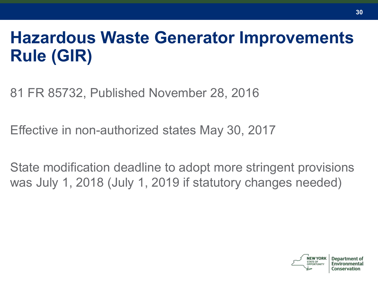## **Hazardous Waste Generator Improvements Rule (GIR)**

81 FR 85732, Published November 28, 2016

Effective in non-authorized states May 30, 2017

State modification deadline to adopt more stringent provisions was July 1, 2018 (July 1, 2019 if statutory changes needed)

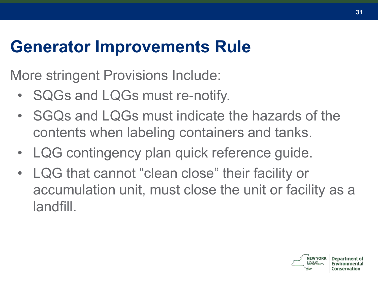### **Generator Improvements Rule**

More stringent Provisions Include:

- SQGs and LQGs must re-notify.
- SGQs and LQGs must indicate the hazards of the contents when labeling containers and tanks.
- LQG contingency plan quick reference guide.
- LQG that cannot "clean close" their facility or accumulation unit, must close the unit or facility as a landfill.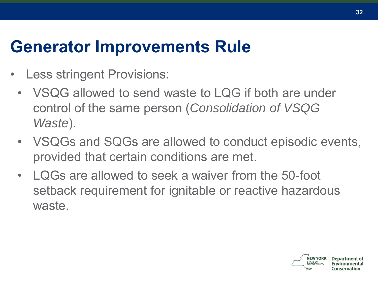### **Generator Improvements Rule**

- Less stringent Provisions:
	- VSQG allowed to send waste to LQG if both are under control of the same person (*Consolidation of VSQG Waste*).
	- VSQGs and SQGs are allowed to conduct episodic events, provided that certain conditions are met.
	- LQGs are allowed to seek a waiver from the 50-foot setback requirement for ignitable or reactive hazardous waste.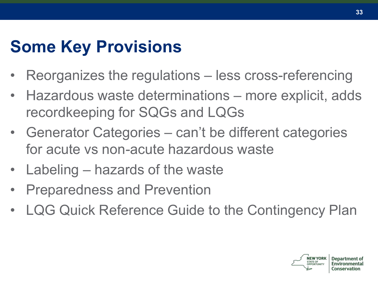## **Some Key Provisions**

- Reorganizes the regulations less cross-referencing
- Hazardous waste determinations more explicit, adds recordkeeping for SQGs and LQGs
- Generator Categories can't be different categories for acute vs non-acute hazardous waste
- Labeling hazards of the waste
- Preparedness and Prevention
- LQG Quick Reference Guide to the Contingency Plan

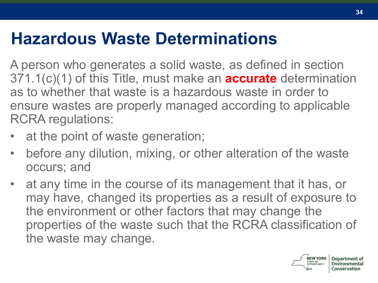### **Hazardous Waste Determinations**

A person who generates a solid waste, as defined in section 371.1(c)(1) of this Title, must make an **accurate** determination as to whether that waste is a hazardous waste in order to ensure wastes are properly managed according to applicable RCRA regulations:

- at the point of waste generation;
- before any dilution, mixing, or other alteration of the waste occurs; and
- at any time in the course of its management that it has, or may have, changed its properties as a result of exposure to the environment or other factors that may change the properties of the waste such that the RCRA classification of the waste may change.



**34**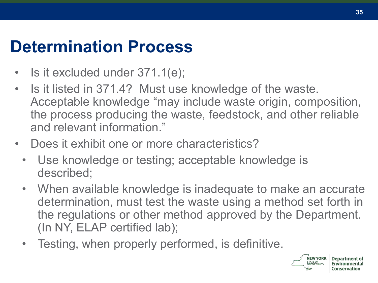### **Determination Process**

- Is it excluded under 371.1(e);
- Is it listed in 371.4? Must use knowledge of the waste. Acceptable knowledge "may include waste origin, composition, the process producing the waste, feedstock, and other reliable and relevant information."
- Does it exhibit one or more characteristics?
	- Use knowledge or testing; acceptable knowledge is described;
	- When available knowledge is inadequate to make an accurate determination, must test the waste using a method set forth in the regulations or other method approved by the Department. (In NY, ELAP certified lab);
	- Testing, when properly performed, is definitive.

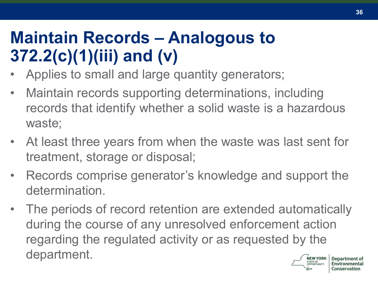## **Maintain Records – Analogous to 372.2(c)(1)(iii) and (v)**

- Applies to small and large quantity generators;
- Maintain records supporting determinations, including records that identify whether a solid waste is a hazardous waste;
- At least three years from when the waste was last sent for treatment, storage or disposal;
- Records comprise generator's knowledge and support the determination.
- The periods of record retention are extended automatically during the course of any unresolved enforcement action regarding the regulated activity or as requested by the department.NEW YORK Denart **STATE OF**



**36**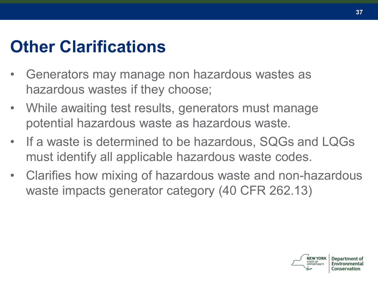# **Other Clarifications**

- Generators may manage non hazardous wastes as hazardous wastes if they choose;
- While awaiting test results, generators must manage potential hazardous waste as hazardous waste.
- If a waste is determined to be hazardous, SQGs and LQGs must identify all applicable hazardous waste codes.
- Clarifies how mixing of hazardous waste and non-hazardous waste impacts generator category (40 CFR 262.13)

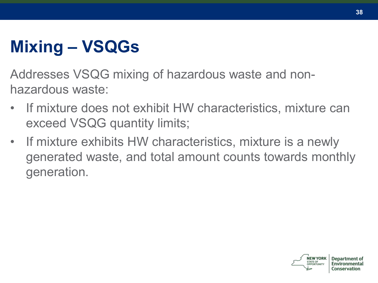# **Mixing – VSQGs**

Addresses VSQG mixing of hazardous waste and nonhazardous waste:

- If mixture does not exhibit HW characteristics, mixture can exceed VSQG quantity limits;
- If mixture exhibits HW characteristics, mixture is a newly generated waste, and total amount counts towards monthly generation.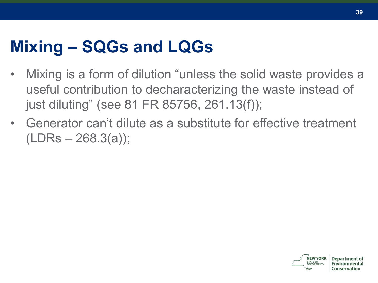#### **Mixing – SQGs and LQGs**

- Mixing is a form of dilution "unless the solid waste provides a useful contribution to decharacterizing the waste instead of just diluting" (see 81 FR 85756, 261.13(f));
- Generator can't dilute as a substitute for effective treatment  $(LDRs - 268.3(a))$ ;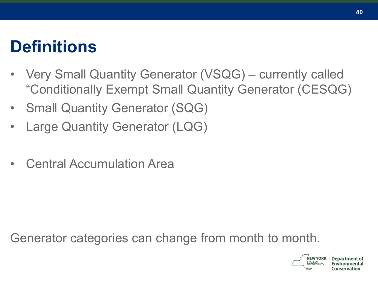#### **Definitions**

- Very Small Quantity Generator (VSQG) currently called "Conditionally Exempt Small Quantity Generator (CESQG)
- Small Quantity Generator (SQG)
- Large Quantity Generator (LQG)
- Central Accumulation Area

Generator categories can change from month to month.



Conservation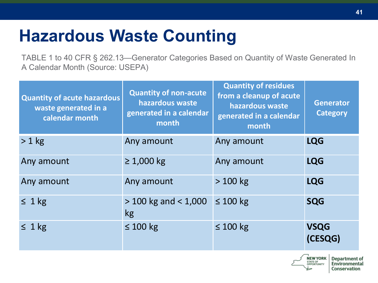### **Hazardous Waste Counting**

TABLE 1 to 40 CFR § 262.13—Generator Categories Based on Quantity of Waste Generated In A Calendar Month (Source: USEPA)

| <b>Quantity of acute hazardous</b><br>waste generated in a<br>calendar month | <b>Quantity of non-acute</b><br>hazardous waste<br>generated in a calendar<br>month | <b>Quantity of residues</b><br>from a cleanup of acute<br>hazardous waste<br>generated in a calendar<br>month | <b>Generator</b><br><b>Category</b> |
|------------------------------------------------------------------------------|-------------------------------------------------------------------------------------|---------------------------------------------------------------------------------------------------------------|-------------------------------------|
| $> 1$ kg                                                                     | Any amount                                                                          | Any amount                                                                                                    | <b>LQG</b>                          |
| Any amount                                                                   | $\geq 1,000$ kg                                                                     | Any amount                                                                                                    | <b>LQG</b>                          |
| Any amount                                                                   | Any amount                                                                          | $>100$ kg                                                                                                     | <b>LQG</b>                          |
| $\leq 1$ kg                                                                  | $>$ 100 kg and $<$ 1,000<br>kg                                                      | $\leq 100$ kg                                                                                                 | <b>SQG</b>                          |
| $\leq 1$ kg                                                                  | $\leq 100$ kg                                                                       | $\leq 100$ kg                                                                                                 | <b>VSQG</b><br>(CESQG)              |

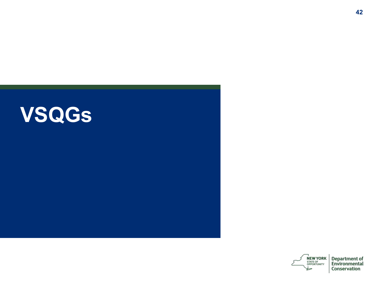





**Department of<br>Environmental** Conservation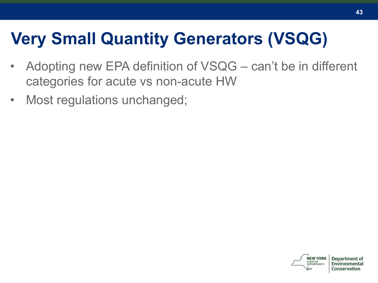# **Very Small Quantity Generators (VSQG)**

- Adopting new EPA definition of VSQG can't be in different categories for acute vs non-acute HW
- Most regulations unchanged;

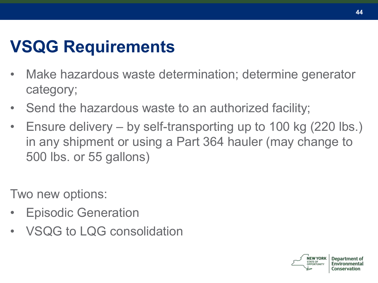### **VSQG Requirements**

- Make hazardous waste determination; determine generator category;
- Send the hazardous waste to an authorized facility;
- Ensure delivery by self-transporting up to 100 kg (220 lbs.) in any shipment or using a Part 364 hauler (may change to 500 lbs. or 55 gallons)

Two new options:

- Episodic Generation
- VSQG to LQG consolidation



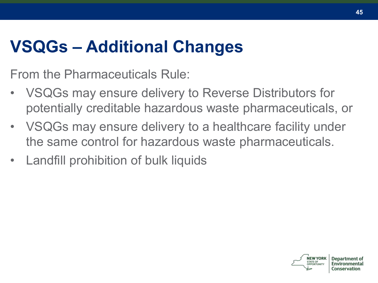## **VSQGs – Additional Changes**

From the Pharmaceuticals Rule:

- VSQGs may ensure delivery to Reverse Distributors for potentially creditable hazardous waste pharmaceuticals, or
- VSQGs may ensure delivery to a healthcare facility under the same control for hazardous waste pharmaceuticals.
- Landfill prohibition of bulk liquids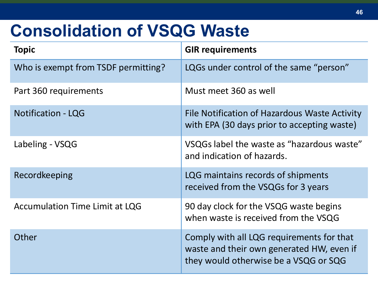#### **Consolidation of VSQG Waste**

| <b>Topic</b>                          | <b>GIR requirements</b>                                                                                                         |
|---------------------------------------|---------------------------------------------------------------------------------------------------------------------------------|
| Who is exempt from TSDF permitting?   | LQGs under control of the same "person"                                                                                         |
| Part 360 requirements                 | Must meet 360 as well                                                                                                           |
| <b>Notification - LQG</b>             | File Notification of Hazardous Waste Activity<br>with EPA (30 days prior to accepting waste)                                    |
| Labeling - VSQG                       | VSQGs label the waste as "hazardous waste"<br>and indication of hazards.                                                        |
| Recordkeeping                         | LQG maintains records of shipments<br>received from the VSQGs for 3 years                                                       |
| <b>Accumulation Time Limit at LQG</b> | 90 day clock for the VSQG waste begins<br>when waste is received from the VSQG                                                  |
| Other                                 | Comply with all LQG requirements for that<br>waste and their own generated HW, even if<br>they would otherwise be a VSQG or SQG |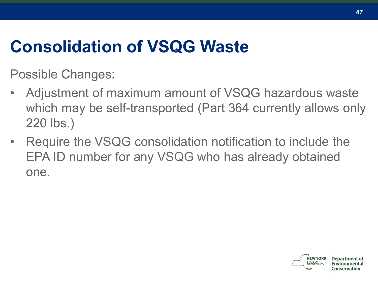# **Consolidation of VSQG Waste**

Possible Changes:

- Adjustment of maximum amount of VSQG hazardous waste which may be self-transported (Part 364 currently allows only 220 lbs.)
- Require the VSQG consolidation notification to include the EPA ID number for any VSQG who has already obtained one.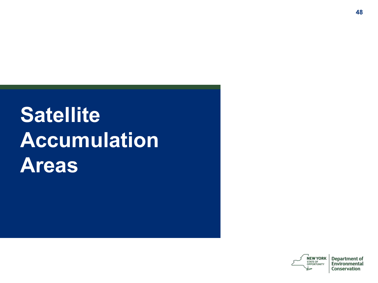# **Satellite Accumulation Areas**

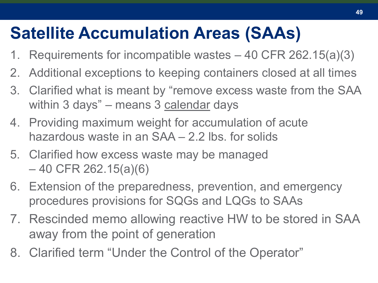#### **Satellite Accumulation Areas (SAAs)**

- 1. Requirements for incompatible wastes 40 CFR 262.15(a)(3)
- 2. Additional exceptions to keeping containers closed at all times
- 3. Clarified what is meant by "remove excess waste from the SAA within 3 days" – means 3 calendar days
- 4. Providing maximum weight for accumulation of acute hazardous waste in an SAA – 2.2 lbs. for solids
- 5. Clarified how excess waste may be managed – 40 CFR 262.15(a)(6)
- 6. Extension of the preparedness, prevention, and emergency procedures provisions for SQGs and LQGs to SAAs
- 7. Rescinded memo allowing reactive HW to be stored in SAA away from the point of generation
- 8. Clarified term "Under the Control of the Operator"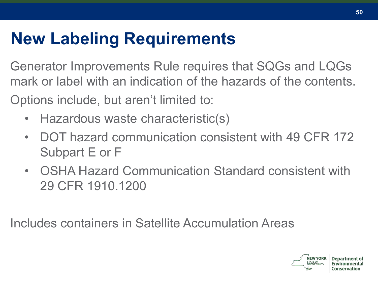# **New Labeling Requirements**

Generator Improvements Rule requires that SQGs and LQGs mark or label with an indication of the hazards of the contents.

Options include, but aren't limited to:

- Hazardous waste characteristic(s)
- DOT hazard communication consistent with 49 CFR 172 Subpart E or F
- OSHA Hazard Communication Standard consistent with 29 CFR 1910.1200

Includes containers in Satellite Accumulation Areas

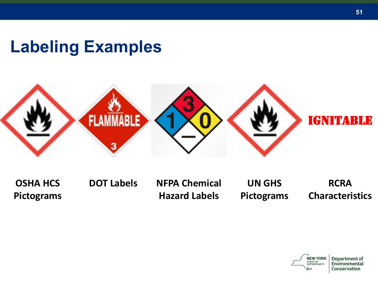### **Labeling Examples**



**OSHA HCS Pictograms**

**DOT Labels NFPA Chemical Hazard Labels**

**UN GHS Pictograms**

**RCRA Characteristics**



**Department of** Environmental Conservation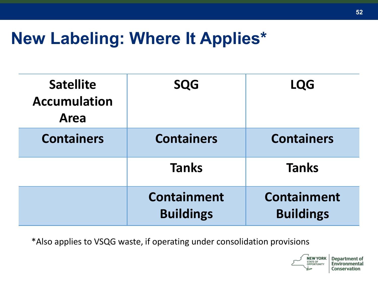#### **New Labeling: Where It Applies\***

| <b>Satellite</b><br><b>Accumulation</b><br>Area | <b>SQG</b>                             | <b>LQG</b>                             |
|-------------------------------------------------|----------------------------------------|----------------------------------------|
| <b>Containers</b>                               | <b>Containers</b>                      | <b>Containers</b>                      |
|                                                 | <b>Tanks</b>                           | <b>Tanks</b>                           |
|                                                 | <b>Containment</b><br><b>Buildings</b> | <b>Containment</b><br><b>Buildings</b> |

\*Also applies to VSQG waste, if operating under consolidation provisions



**Department of** Environmental Conservation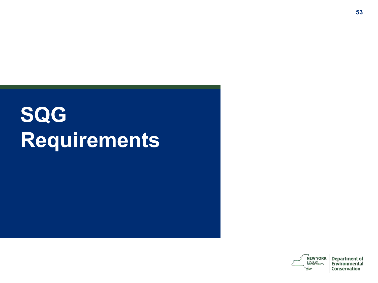# **SQG Requirements**

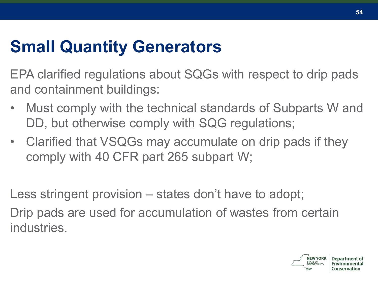# **Small Quantity Generators**

EPA clarified regulations about SQGs with respect to drip pads and containment buildings:

- Must comply with the technical standards of Subparts W and DD, but otherwise comply with SQG regulations;
- Clarified that VSQGs may accumulate on drip pads if they comply with 40 CFR part 265 subpart W;

Less stringent provision – states don't have to adopt;

Drip pads are used for accumulation of wastes from certain industries.

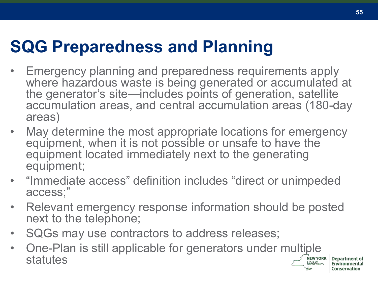### **SQG Preparedness and Planning**

- Emergency planning and preparedness requirements apply where hazardous waste is being generated or accumulated at the generator's site—includes points of generation, satellite accumulation areas, and central accumulation areas (180-day areas)
- May determine the most appropriate locations for emergency equipment, when it is not possible or unsafe to have the equipment located immediately next to the generating equipment;
- "Immediate access" definition includes "direct or unimpeded access;"
- Relevant emergency response information should be posted next to the telephone;
- SQGs may use contractors to address releases;
- One-Plan is still applicable for generators under multiple statutes **STATE OF**

Denartment of

Conservation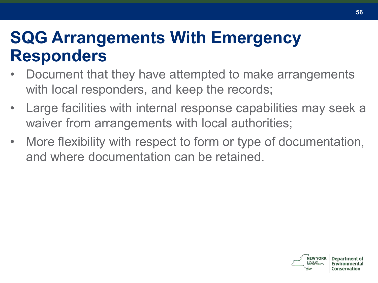#### **SQG Arrangements With Emergency Responders**

- Document that they have attempted to make arrangements with local responders, and keep the records;
- Large facilities with internal response capabilities may seek a waiver from arrangements with local authorities;
- More flexibility with respect to form or type of documentation, and where documentation can be retained.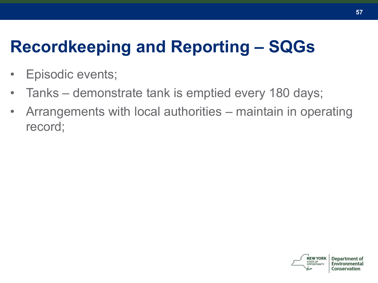# **Recordkeeping and Reporting – SQGs**

- Episodic events;
- Tanks demonstrate tank is emptied every 180 days;
- Arrangements with local authorities maintain in operating record;

Conservation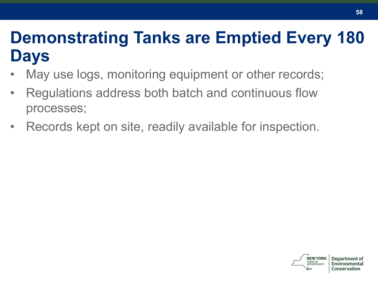#### **Demonstrating Tanks are Emptied Every 180 Days**

- May use logs, monitoring equipment or other records;
- Regulations address both batch and continuous flow processes;
- Records kept on site, readily available for inspection.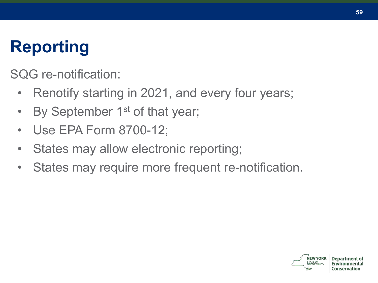# **Reporting**

SQG re-notification:

- Renotify starting in 2021, and every four years;
- By September 1<sup>st</sup> of that year;
- Use EPA Form 8700-12;
- States may allow electronic reporting;
- States may require more frequent re-notification.



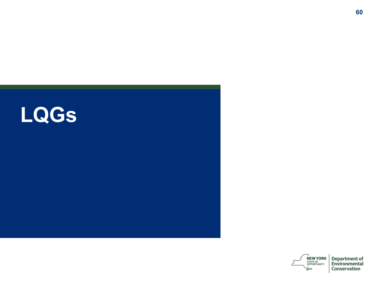



**Department of<br>Environmental** Conservation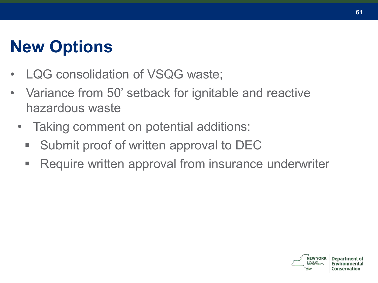# **New Options**

- LQG consolidation of VSQG waste;
- Variance from 50' setback for ignitable and reactive hazardous waste
	- Taking comment on potential additions:
		- Submit proof of written approval to DEC
		- Require written approval from insurance underwriter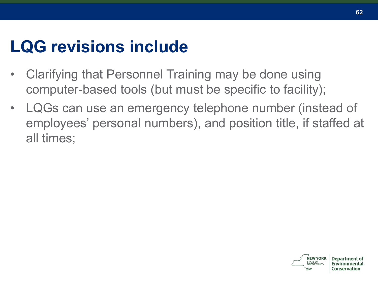#### **LQG revisions include**

- Clarifying that Personnel Training may be done using computer-based tools (but must be specific to facility);
- LQGs can use an emergency telephone number (instead of employees' personal numbers), and position title, if staffed at all times;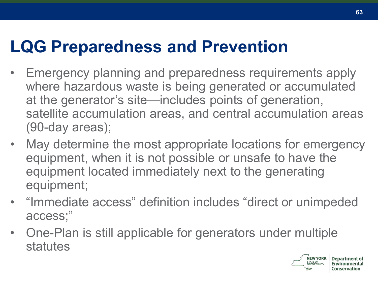#### **LQG Preparedness and Prevention**

- Emergency planning and preparedness requirements apply where hazardous waste is being generated or accumulated at the generator's site—includes points of generation, satellite accumulation areas, and central accumulation areas (90-day areas);
- May determine the most appropriate locations for emergency equipment, when it is not possible or unsafe to have the equipment located immediately next to the generating equipment;
- "Immediate access" definition includes "direct or unimpeded access;"
- One-Plan is still applicable for generators under multiple statutes

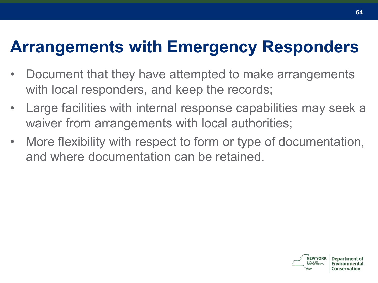#### **Arrangements with Emergency Responders**

- Document that they have attempted to make arrangements with local responders, and keep the records;
- Large facilities with internal response capabilities may seek a waiver from arrangements with local authorities;
- More flexibility with respect to form or type of documentation, and where documentation can be retained.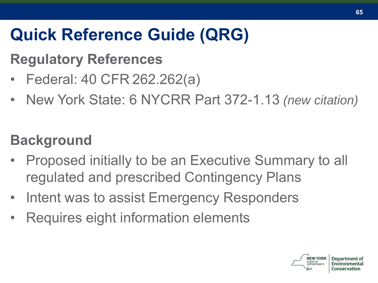# **Quick Reference Guide (QRG)**

#### **Regulatory References**

- Federal: 40 CFR 262.262(a)
- New York State: 6 NYCRR Part 372-1.13 *(new citation)*

#### **Background**

- Proposed initially to be an Executive Summary to all regulated and prescribed Contingency Plans
- Intent was to assist Emergency Responders
- Requires eight information elements

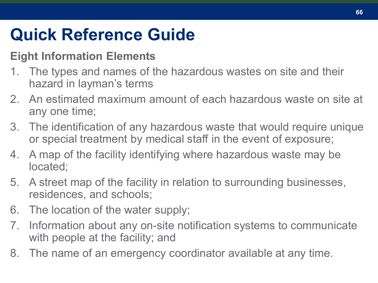## **Quick Reference Guide**

#### **Eight Information Elements**

- 1. The types and names of the hazardous wastes on site and their hazard in layman's terms
- 2. An estimated maximum amount of each hazardous waste on site at any one time;
- 3. The identification of any hazardous waste that would require unique or special treatment by medical staff in the event of exposure;
- 4. A map of the facility identifying where hazardous waste may be located;
- 5. A street map of the facility in relation to surrounding businesses, residences, and schools;
- 6. The location of the water supply;
- 7. Information about any on-site notification systems to communicate with people at the facility; and
- 8. The name of an emergency coordinator available at any time.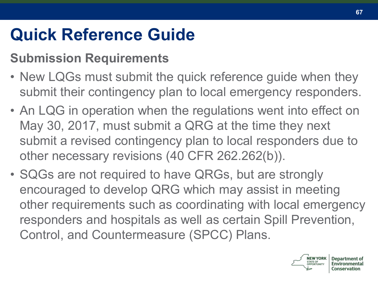# **Quick Reference Guide**

#### **Submission Requirements**

- New LQGs must submit the quick reference guide when they submit their contingency plan to local emergency responders.
- An LQG in operation when the regulations went into effect on May 30, 2017, must submit a QRG at the time they next submit a revised contingency plan to local responders due to other necessary revisions (40 CFR 262.262(b)).
- SQGs are not required to have QRGs, but are strongly encouraged to develop QRG which may assist in meeting other requirements such as coordinating with local emergency responders and hospitals as well as certain Spill Prevention, Control, and Countermeasure (SPCC) Plans.

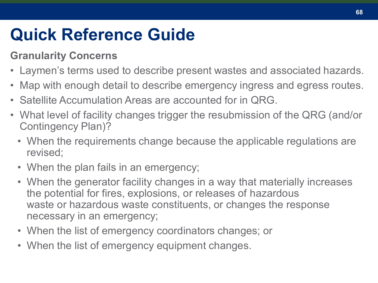### **Quick Reference Guide**

#### **Granularity Concerns**

- Laymen's terms used to describe present wastes and associated hazards.
- Map with enough detail to describe emergency ingress and egress routes.
- Satellite Accumulation Areas are accounted for in QRG.
- What level of facility changes trigger the resubmission of the QRG (and/or Contingency Plan)?
	- When the requirements change because the applicable regulations are revised;
	- When the plan fails in an emergency;
	- When the generator facility changes in a way that materially increases the potential for fires, explosions, or releases of hazardous waste or hazardous waste constituents, or changes the response necessary in an emergency;
	- When the list of emergency coordinators changes; or
	- When the list of emergency equipment changes.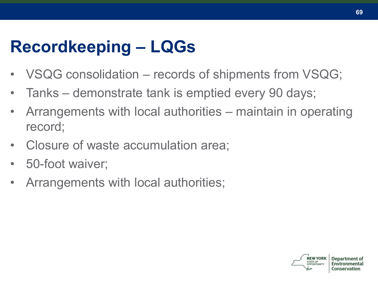# **Recordkeeping – LQGs**

- VSQG consolidation records of shipments from VSQG;
- Tanks demonstrate tank is emptied every 90 days;
- Arrangements with local authorities maintain in operating record;
- Closure of waste accumulation area;
- 50-foot waiver;
- Arrangements with local authorities;

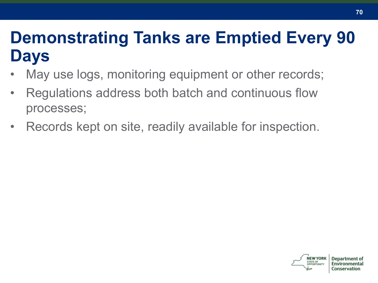#### **Demonstrating Tanks are Emptied Every 90 Days**

- May use logs, monitoring equipment or other records;
- Regulations address both batch and continuous flow processes;
- Records kept on site, readily available for inspection.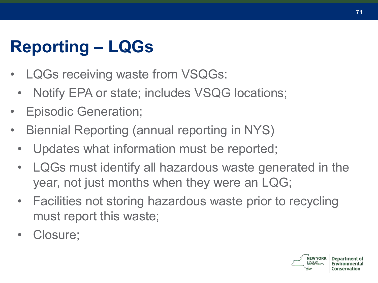# **Reporting – LQGs**

- LQGs receiving waste from VSQGs:
	- Notify EPA or state; includes VSQG locations;
- Episodic Generation;
- Biennial Reporting (annual reporting in NYS)
	- Updates what information must be reported;
	- LQGs must identify all hazardous waste generated in the year, not just months when they were an LQG;
	- Facilities not storing hazardous waste prior to recycling must report this waste;
	- Closure;

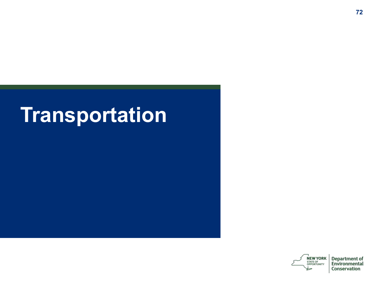# **Transportation**

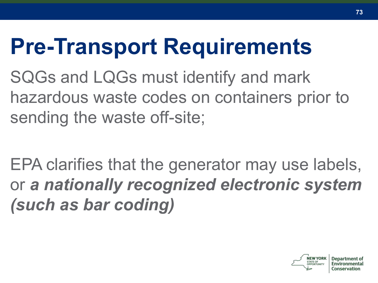# **Pre-Transport Requirements**

SQGs and LQGs must identify and mark hazardous waste codes on containers prior to sending the waste off-site;

EPA clarifies that the generator may use labels, or *a nationally recognized electronic system (such as bar coding)*

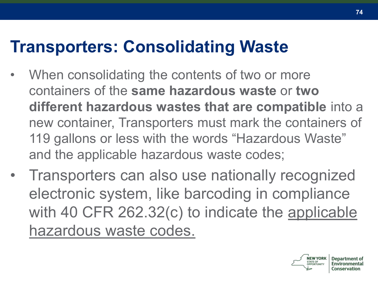#### **Transporters: Consolidating Waste**

- When consolidating the contents of two or more containers of the **same hazardous waste** or **two different hazardous wastes that are compatible** into a new container, Transporters must mark the containers of 119 gallons or less with the words "Hazardous Waste" and the applicable hazardous waste codes;
- Transporters can also use nationally recognized electronic system, like barcoding in compliance with 40 CFR 262.32(c) to indicate the applicable hazardous waste codes.

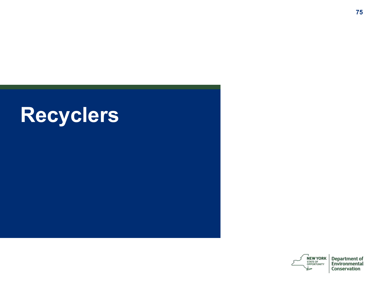



**Department of<br>Environmental** Conservation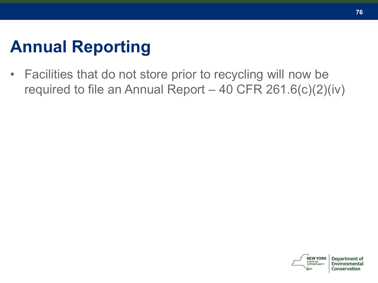### **Annual Reporting**

• Facilities that do not store prior to recycling will now be required to file an Annual Report  $-$  40 CFR 261.6(c)(2)(iv)

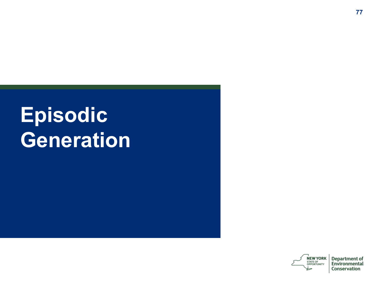# **Episodic Generation**

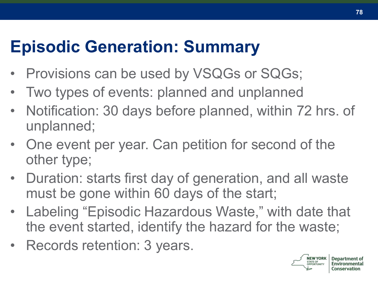#### **Episodic Generation: Summary**

- Provisions can be used by VSQGs or SQGs;
- Two types of events: planned and unplanned
- Notification: 30 days before planned, within 72 hrs. of unplanned;
- One event per year. Can petition for second of the other type;
- Duration: starts first day of generation, and all waste must be gone within 60 days of the start;
- Labeling "Episodic Hazardous Waste," with date that the event started, identify the hazard for the waste;
- Records retention: 3 years.

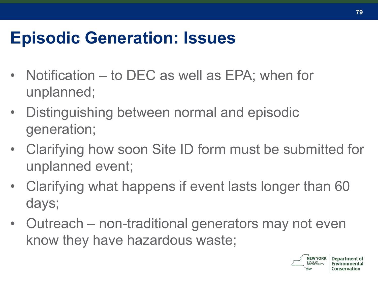#### **Episodic Generation: Issues**

- Notification to DEC as well as EPA; when for unplanned;
- Distinguishing between normal and episodic generation;
- Clarifying how soon Site ID form must be submitted for unplanned event;
- Clarifying what happens if event lasts longer than 60 days;
- Outreach non-traditional generators may not even know they have hazardous waste;

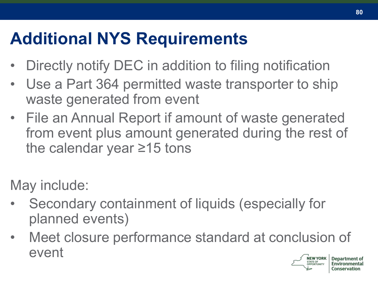## **Additional NYS Requirements**

- Directly notify DEC in addition to filing notification
- Use a Part 364 permitted waste transporter to ship waste generated from event
- File an Annual Report if amount of waste generated from event plus amount generated during the rest of the calendar year ≥15 tons

May include:

- Secondary containment of liquids (especially for planned events)
- Meet closure performance standard at conclusion of event**NEW YORK**

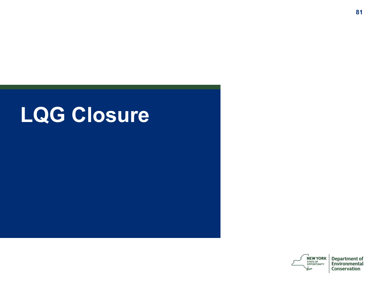# **LQG Closure**

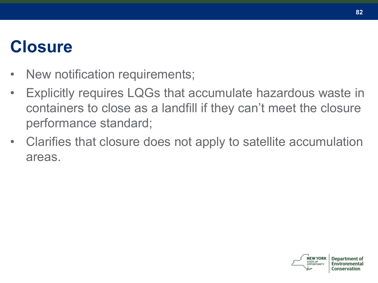#### **Closure**

- New notification requirements;
- Explicitly requires LQGs that accumulate hazardous waste in containers to close as a landfill if they can't meet the closure performance standard;
- Clarifies that closure does not apply to satellite accumulation areas.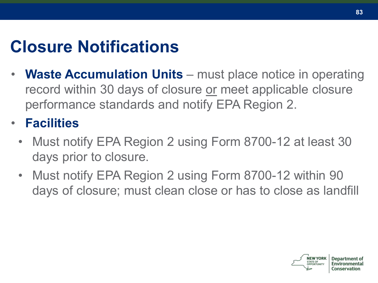### **Closure Notifications**

- **Waste Accumulation Units** must place notice in operating record within 30 days of closure or meet applicable closure performance standards and notify EPA Region 2.
- **Facilities**
	- Must notify EPA Region 2 using Form 8700-12 at least 30 days prior to closure.
	- Must notify EPA Region 2 using Form 8700-12 within 90 days of closure; must clean close or has to close as landfill

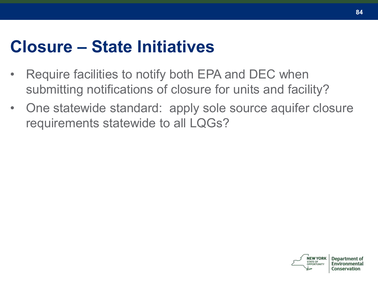#### **Closure – State Initiatives**

- Require facilities to notify both EPA and DEC when submitting notifications of closure for units and facility?
- One statewide standard: apply sole source aquifer closure requirements statewide to all LQGs?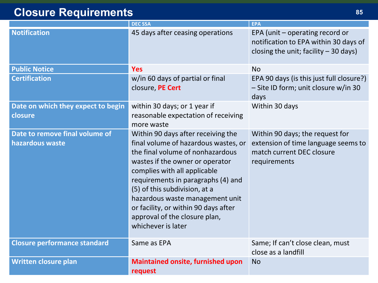#### **Closure Requirements <sup>85</sup>**

|                                                   | <b>DECSSA</b>                                                                                                                                                                                                                                                                                                                                                                              | <b>EPA</b>                                                                                                          |
|---------------------------------------------------|--------------------------------------------------------------------------------------------------------------------------------------------------------------------------------------------------------------------------------------------------------------------------------------------------------------------------------------------------------------------------------------------|---------------------------------------------------------------------------------------------------------------------|
| <b>Notification</b>                               | 45 days after ceasing operations                                                                                                                                                                                                                                                                                                                                                           | EPA (unit - operating record or<br>notification to EPA within 30 days of<br>closing the unit; facility - 30 days)   |
| <b>Public Notice</b>                              | <b>Yes</b>                                                                                                                                                                                                                                                                                                                                                                                 | No                                                                                                                  |
| <b>Certification</b>                              | w/in 60 days of partial or final<br>closure, PE Cert                                                                                                                                                                                                                                                                                                                                       | EPA 90 days (is this just full closure?)<br>- Site ID form; unit closure w/in 30<br>days                            |
| Date on which they expect to begin<br>closure     | within 30 days; or 1 year if<br>reasonable expectation of receiving<br>more waste                                                                                                                                                                                                                                                                                                          | Within 30 days                                                                                                      |
| Date to remove final volume of<br>hazardous waste | Within 90 days after receiving the<br>final volume of hazardous wastes, or<br>the final volume of nonhazardous<br>wastes if the owner or operator<br>complies with all applicable<br>requirements in paragraphs (4) and<br>(5) of this subdivision, at a<br>hazardous waste management unit<br>or facility, or within 90 days after<br>approval of the closure plan,<br>whichever is later | Within 90 days; the request for<br>extension of time language seems to<br>match current DEC closure<br>requirements |
| <b>Closure performance standard</b>               | Same as EPA                                                                                                                                                                                                                                                                                                                                                                                | Same; If can't close clean, must<br>close as a landfill                                                             |
| <b>Written closure plan</b>                       | <b>Maintained onsite, furnished upon</b><br>request                                                                                                                                                                                                                                                                                                                                        | <b>No</b>                                                                                                           |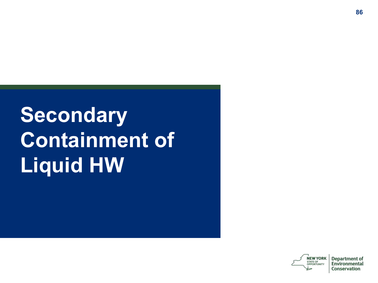# **Secondary Containment of Liquid HW**

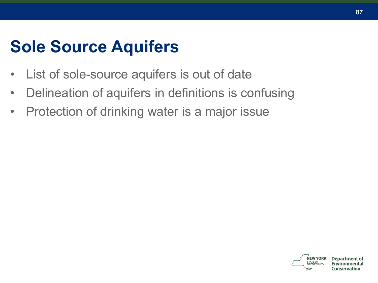#### **Sole Source Aquifers**

- List of sole-source aquifers is out of date
- Delineation of aquifers in definitions is confusing
- Protection of drinking water is a major issue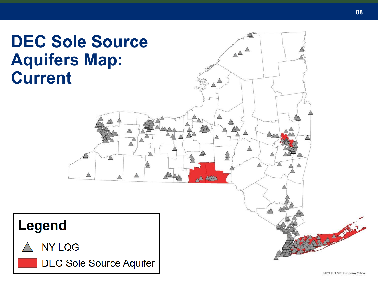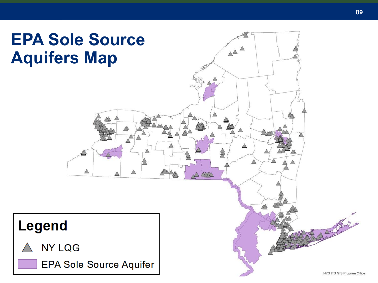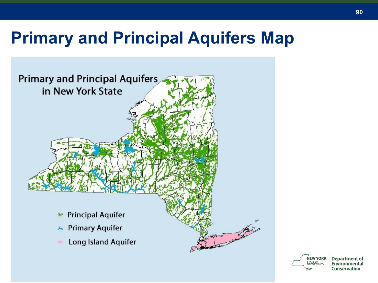#### **Primary and Principal Aquifers Map**





**Department of** Environmental Conservation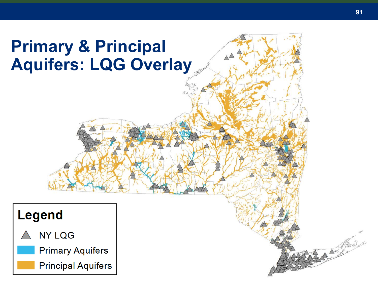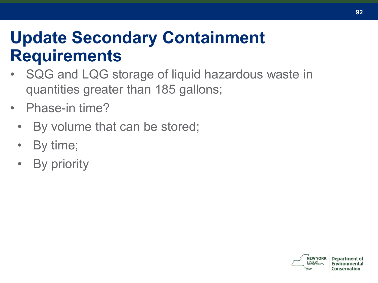#### **Update Secondary Containment Requirements**

- SQG and LQG storage of liquid hazardous waste in quantities greater than 185 gallons;
- Phase-in time?
	- By volume that can be stored;
	- By time;
	- **By priority**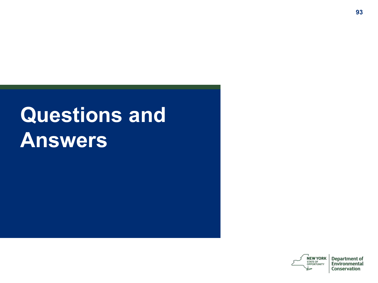# **Questions and Answers**

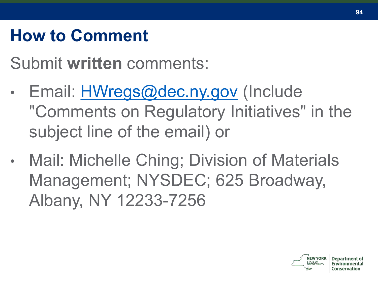### **How to Comment**

Submit **written** comments:

- Email: **[HWregs@dec.ny.gov](mailto:HWregs@dec.ny.gov)** (Include "Comments on Regulatory Initiatives" in the subject line of the email) or
- Mail: Michelle Ching; Division of Materials Management; NYSDEC; 625 Broadway, Albany, NY 12233-7256